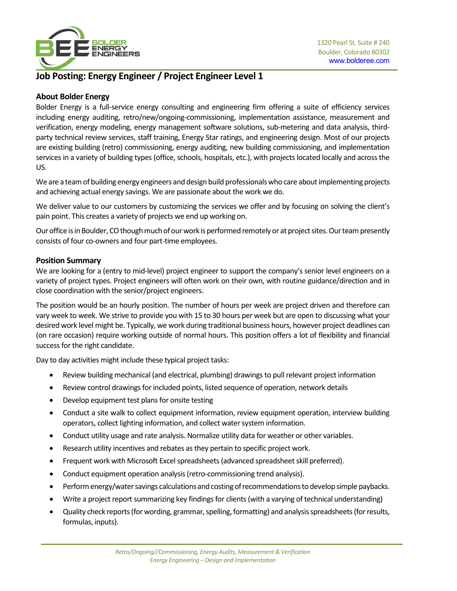

# **Job Posting: Energy Engineer / Project Engineer Level 1**

## **About Bolder Energy**

Bolder Energy is a full-service energy consulting and engineering firm offering a suite of efficiency services including energy auditing, retro/new/ongoing-commissioning, implementation assistance, measurement and verification, energy modeling, energy management software solutions, sub-metering and data analysis, thirdparty technical review services, staff training, Energy Star ratings, and engineering design. Most of our projects are existing building (retro) commissioning, energy auditing, new building commissioning, and implementation services in a variety of building types (office, schools, hospitals, etc.), with projects located locally and across the US.

We are a team of building energy engineers and design build professionals who care aboutimplementing projects and achieving actual energy savings. We are passionate about the work we do.

We deliver value to our customers by customizing the services we offer and by focusing on solving the client's pain point. This creates a variety of projects we end up working on.

Our office is in Boulder, CO though much of our work is performed remotely or at project sites. Our team presently consists of four co-owners and four part-time employees.

## **Position Summary**

We are looking for a (entry to mid-level) project engineer to support the company's senior level engineers on a variety of project types. Project engineers will often work on their own, with routine guidance/direction and in close coordination with the senior/project engineers.

The position would be an hourly position. The number of hours per week are project driven and therefore can vary week to week. We strive to provide you with 15 to 30 hours per week but are open to discussing what your desired work level might be. Typically, we work during traditional business hours, however project deadlines can (on rare occasion) require working outside of normal hours. This position offers a lot of flexibility and financial success for the right candidate.

Day to day activities might include these typical project tasks:

- Review building mechanical (and electrical, plumbing) drawings to pull relevant project information
- Review control drawings for included points, listed sequence of operation, network details
- Develop equipment test plans for onsite testing
- Conduct a site walk to collect equipment information, review equipment operation, interview building operators, collect lighting information, and collect water system information.
- Conduct utility usage and rate analysis. Normalize utility data for weather or other variables.
- Research utility incentives and rebates as they pertain to specific project work.
- Frequent work with Microsoft Excel spreadsheets (advanced spreadsheet skill preferred).
- Conduct equipment operation analysis (retro-commissioning trend analysis).
- Perform energy/water savings calculations and costing of recommendations to develop simple paybacks.
- Write a project report summarizing key findings for clients (with a varying of technical understanding)
- Quality check reports (for wording, grammar, spelling, formatting) and analysisspreadsheets (for results, formulas, inputs).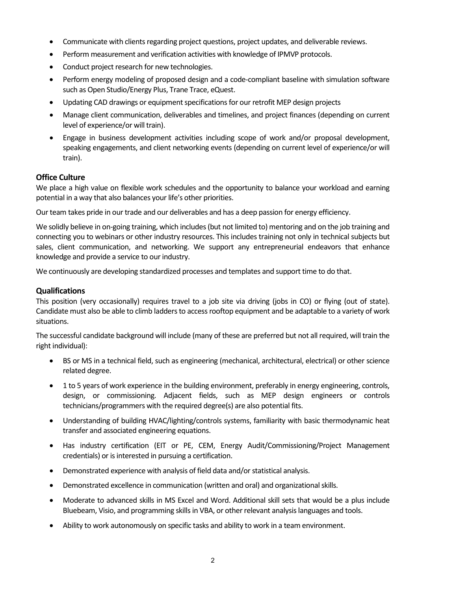- Communicate with clients regarding project questions, project updates, and deliverable reviews.
- Perform measurement and verification activities with knowledge of IPMVP protocols.
- Conduct project research for new technologies.
- Perform energy modeling of proposed design and a code-compliant baseline with simulation software such as Open Studio/Energy Plus, Trane Trace, eQuest.
- Updating CAD drawings or equipment specifications for our retrofit MEP design projects
- Manage client communication, deliverables and timelines, and project finances (depending on current level of experience/or will train).
- Engage in business development activities including scope of work and/or proposal development, speaking engagements, and client networking events (depending on current level of experience/or will train).

### **Office Culture**

We place a high value on flexible work schedules and the opportunity to balance your workload and earning potential in a way that also balances your life's other priorities.

Our team takes pride in our trade and our deliverables and has a deep passion for energy efficiency.

We solidly believe in on-going training, which includes (but not limited to) mentoring and on the job training and connecting you to webinars or other industry resources. This includes training not only in technical subjects but sales, client communication, and networking. We support any entrepreneurial endeavors that enhance knowledge and provide a service to our industry.

We continuously are developing standardized processes and templates and support time to do that.

### **Qualifications**

This position (very occasionally) requires travel to a job site via driving (jobs in CO) or flying (out of state). Candidate must also be able to climb ladders to access rooftop equipment and be adaptable to a variety of work situations.

The successful candidate background will include (many of these are preferred but not all required, will train the right individual):

- BS or MS in a technical field, such as engineering (mechanical, architectural, electrical) or other science related degree.
- 1 to 5 years of work experience in the building environment, preferably in energy engineering, controls, design, or commissioning. Adjacent fields, such as MEP design engineers or controls technicians/programmers with the required degree(s) are also potential fits.
- Understanding of building HVAC/lighting/controls systems, familiarity with basic thermodynamic heat transfer and associated engineering equations.
- Has industry certification (EIT or PE, CEM, Energy Audit/Commissioning/Project Management credentials) or is interested in pursuing a certification.
- Demonstrated experience with analysis of field data and/or statistical analysis.
- Demonstrated excellence in communication (written and oral) and organizational skills.
- Moderate to advanced skills in MS Excel and Word. Additional skill sets that would be a plus include Bluebeam, Visio, and programming skills in VBA, or other relevant analysis languages and tools.
- Ability to work autonomously on specific tasks and ability to work in a team environment.